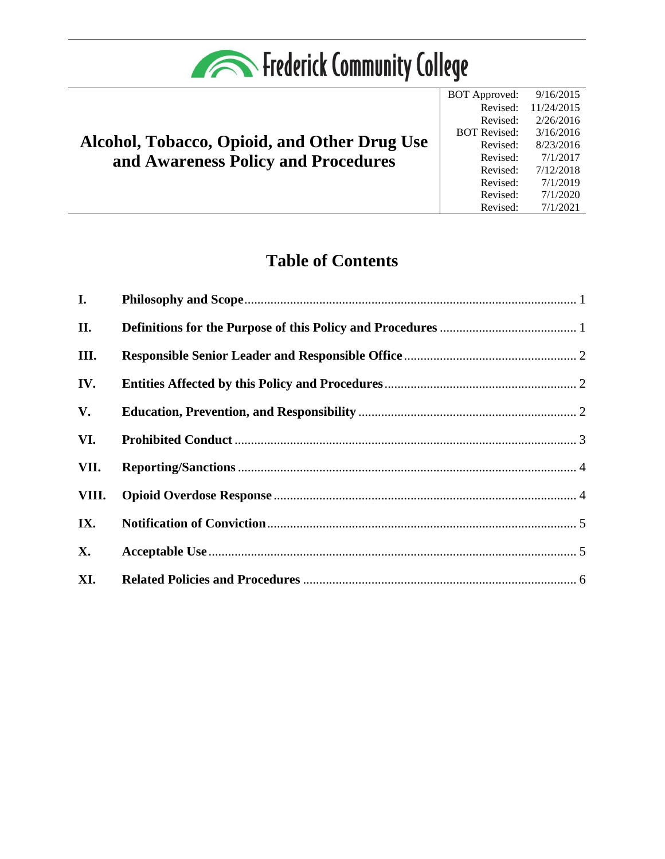| <b>Expanding Service Community College</b> |  |
|--------------------------------------------|--|
|--------------------------------------------|--|

# **Alcohol, Tobacco, Opioid, and Other Drug Use and Awareness Policy and Procedures**



## **Table of Contents**

| I.        |  |
|-----------|--|
| II.       |  |
| III.      |  |
| IV.       |  |
| V.        |  |
| VI.       |  |
| VII.      |  |
| VIII.     |  |
| IX.       |  |
| <b>X.</b> |  |
| XI.       |  |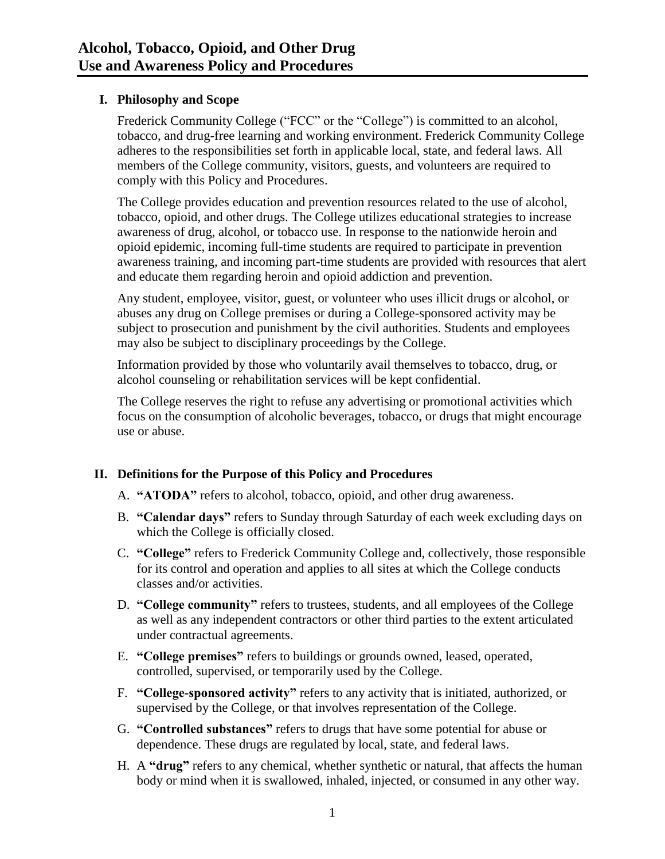## <span id="page-1-0"></span>**I. Philosophy and Scope**

Frederick Community College ("FCC" or the "College") is committed to an alcohol, tobacco, and drug-free learning and working environment. Frederick Community College adheres to the responsibilities set forth in applicable local, state, and federal laws. All members of the College community, visitors, guests, and volunteers are required to comply with this Policy and Procedures.

The College provides education and prevention resources related to the use of alcohol, tobacco, opioid, and other drugs. The College utilizes educational strategies to increase awareness of drug, alcohol, or tobacco use. In response to the nationwide heroin and opioid epidemic, incoming full-time students are required to participate in prevention awareness training, and incoming part-time students are provided with resources that alert and educate them regarding heroin and opioid addiction and prevention.

Any student, employee, visitor, guest, or volunteer who uses illicit drugs or alcohol, or abuses any drug on College premises or during a College-sponsored activity may be subject to prosecution and punishment by the civil authorities. Students and employees may also be subject to disciplinary proceedings by the College.

Information provided by those who voluntarily avail themselves to tobacco, drug, or alcohol counseling or rehabilitation services will be kept confidential.

The College reserves the right to refuse any advertising or promotional activities which focus on the consumption of alcoholic beverages, tobacco, or drugs that might encourage use or abuse.

## <span id="page-1-1"></span>**II. Definitions for the Purpose of this Policy and Procedures**

- A. **"ATODA"** refers to alcohol, tobacco, opioid, and other drug awareness.
- B. **"Calendar days"** refers to Sunday through Saturday of each week excluding days on which the College is officially closed.
- C. **"College"** refers to Frederick Community College and, collectively, those responsible for its control and operation and applies to all sites at which the College conducts classes and/or activities.
- D. **"College community"** refers to trustees, students, and all employees of the College as well as any independent contractors or other third parties to the extent articulated under contractual agreements.
- E. **"College premises"** refers to buildings or grounds owned, leased, operated, controlled, supervised, or temporarily used by the College.
- F. **"College-sponsored activity"** refers to any activity that is initiated, authorized, or supervised by the College, or that involves representation of the College.
- G. **"Controlled substances"** refers to drugs that have some potential for abuse or dependence. These drugs are regulated by local, state, and federal laws.
- H. A **"drug"** refers to any chemical, whether synthetic or natural, that affects the human body or mind when it is swallowed, inhaled, injected, or consumed in any other way.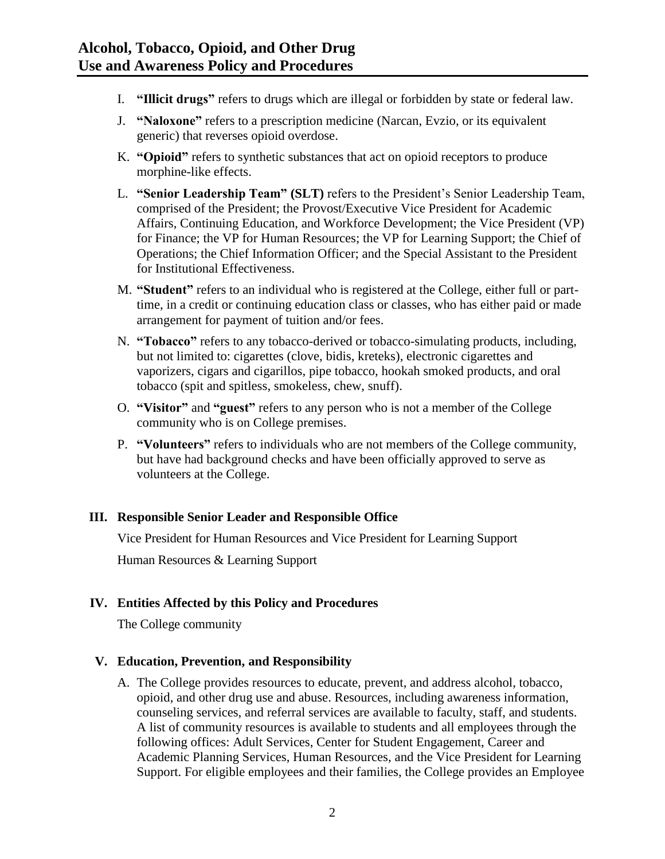- I. **"Illicit drugs"** refers to drugs which are illegal or forbidden by state or federal law.
- J. **"Naloxone"** refers to a prescription medicine (Narcan, Evzio, or its equivalent generic) that reverses opioid overdose.
- K. **"Opioid"** refers to synthetic substances that act on opioid receptors to produce morphine-like effects.
- L. **"Senior Leadership Team" (SLT)** refers to the President's Senior Leadership Team, comprised of the President; the Provost/Executive Vice President for Academic Affairs, Continuing Education, and Workforce Development; the Vice President (VP) for Finance; the VP for Human Resources; the VP for Learning Support; the Chief of Operations; the Chief Information Officer; and the Special Assistant to the President for Institutional Effectiveness.
- M. **"Student"** refers to an individual who is registered at the College, either full or parttime, in a credit or continuing education class or classes, who has either paid or made arrangement for payment of tuition and/or fees.
- N. **"Tobacco"** refers to any tobacco-derived or tobacco-simulating products, including, but not limited to: cigarettes (clove, bidis, kreteks), electronic cigarettes and vaporizers, cigars and cigarillos, pipe tobacco, hookah smoked products, and oral tobacco (spit and spitless, smokeless, chew, snuff).
- O. **"Visitor"** and **"guest"** refers to any person who is not a member of the College community who is on College premises.
- P. **"Volunteers"** refers to individuals who are not members of the College community, but have had background checks and have been officially approved to serve as volunteers at the College.

## <span id="page-2-0"></span>**III. Responsible Senior Leader and Responsible Office**

Vice President for Human Resources and Vice President for Learning Support

Human Resources & Learning Support

## <span id="page-2-1"></span>**IV. Entities Affected by this Policy and Procedures**

The College community

#### <span id="page-2-2"></span>**V. Education, Prevention, and Responsibility**

A. The College provides resources to educate, prevent, and address alcohol, tobacco, opioid, and other drug use and abuse. Resources, including awareness information, counseling services, and referral services are available to faculty, staff, and students. A list of community resources is available to students and all employees through the following offices: Adult Services, Center for Student Engagement, Career and Academic Planning Services, Human Resources, and the Vice President for Learning Support. For eligible employees and their families, the College provides an Employee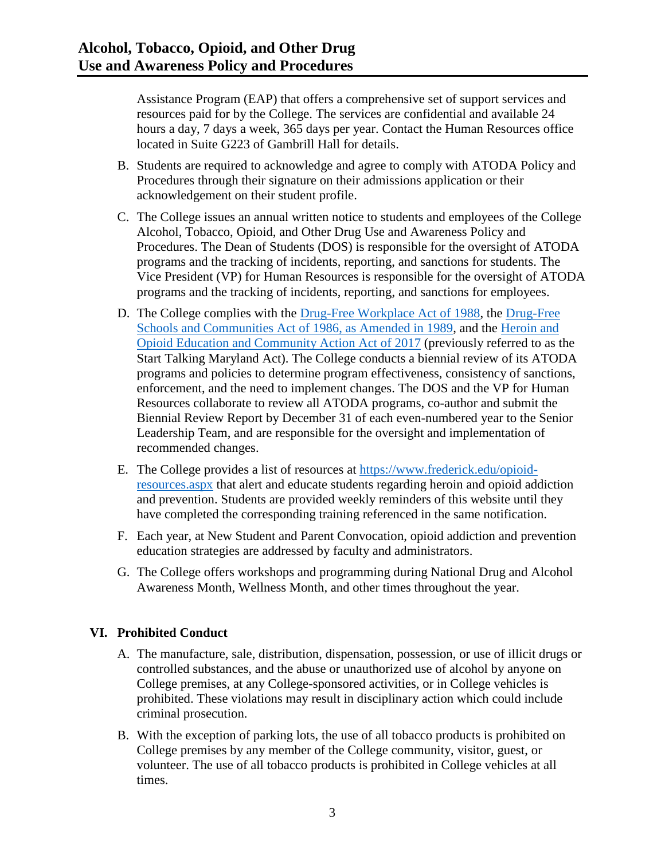Assistance Program (EAP) that offers a comprehensive set of support services and resources paid for by the College. The services are confidential and available 24 hours a day, 7 days a week, 365 days per year. Contact the Human Resources office located in Suite G223 of Gambrill Hall for details.

- B. Students are required to acknowledge and agree to comply with ATODA Policy and Procedures through their signature on their admissions application or their acknowledgement on their student profile.
- C. The College issues an annual written notice to students and employees of the College Alcohol, Tobacco, Opioid, and Other Drug Use and Awareness Policy and Procedures. The Dean of Students (DOS) is responsible for the oversight of ATODA programs and the tracking of incidents, reporting, and sanctions for students. The Vice President (VP) for Human Resources is responsible for the oversight of ATODA programs and the tracking of incidents, reporting, and sanctions for employees.
- D. The College complies with the [Drug-Free Workplace Act of 1988,](https://www.congress.gov/bill/100th-congress/house-bill/4719) the [Drug-Free](https://www.govtrack.us/congress/bills/101/hr3614)  [Schools and Communities Act of 1986, as Amended in 1989,](https://www.govtrack.us/congress/bills/101/hr3614) and the [Heroin and](http://mgaleg.maryland.gov/mgawebsite/legislation/details/hb1082?ys=2017rs)  [Opioid Education and Community Action Act](http://mgaleg.maryland.gov/mgawebsite/legislation/details/hb1082?ys=2017rs) of 2017 (previously referred to as the Start Talking Maryland Act). The College conducts a biennial review of its ATODA programs and policies to determine program effectiveness, consistency of sanctions, enforcement, and the need to implement changes. The DOS and the VP for Human Resources collaborate to review all ATODA programs, co-author and submit the Biennial Review Report by December 31 of each even-numbered year to the Senior Leadership Team, and are responsible for the oversight and implementation of recommended changes.
- E. The College provides a list of resources at [https://www.frederick.edu/opioid](https://www.frederick.edu/opioid-resources.aspx)[resources.aspx](https://www.frederick.edu/opioid-resources.aspx) that alert and educate students regarding heroin and opioid addiction and prevention. Students are provided weekly reminders of this website until they have completed the corresponding training referenced in the same notification.
- F. Each year, at New Student and Parent Convocation, opioid addiction and prevention education strategies are addressed by faculty and administrators.
- G. The College offers workshops and programming during National Drug and Alcohol Awareness Month, Wellness Month, and other times throughout the year.

## <span id="page-3-0"></span>**VI. Prohibited Conduct**

- A. The manufacture, sale, distribution, dispensation, possession, or use of illicit drugs or controlled substances, and the abuse or unauthorized use of alcohol by anyone on College premises, at any College-sponsored activities, or in College vehicles is prohibited. These violations may result in disciplinary action which could include criminal prosecution.
- B. With the exception of parking lots, the use of all tobacco products is prohibited on College premises by any member of the College community, visitor, guest, or volunteer. The use of all tobacco products is prohibited in College vehicles at all times.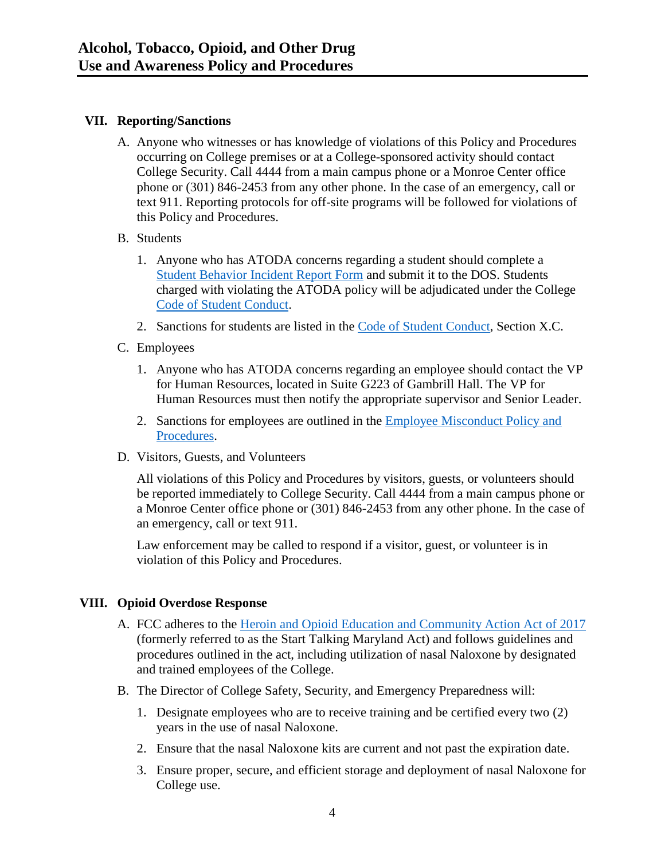#### <span id="page-4-0"></span>**VII. Reporting/Sanctions**

- A. Anyone who witnesses or has knowledge of violations of this Policy and Procedures occurring on College premises or at a College-sponsored activity should contact College Security. Call 4444 from a main campus phone or a Monroe Center office phone or (301) 846-2453 from any other phone. In the case of an emergency, call or text 911. Reporting protocols for off-site programs will be followed for violations of this Policy and Procedures.
- B. Students
	- 1. Anyone who has ATODA concerns regarding a student should complete a [Student Behavior Incident Report Form](https://cm.maxient.com/reportingform.php?FrederickCC) and submit it to the DOS. Students charged with violating the ATODA policy will be adjudicated under the College [Code of Student Conduct.](http://www.frederick.edu/code-of-student-conduct)
	- 2. Sanctions for students are listed in the [Code of Student Conduct,](http://www.frederick.edu/code-of-student-conduct) Section X.C.
- C. Employees
	- 1. Anyone who has ATODA concerns regarding an employee should contact the VP for Human Resources, located in Suite G223 of Gambrill Hall. The VP for Human Resources must then notify the appropriate supervisor and Senior Leader.
	- 2. Sanctions for employees are outlined in the [Employee Misconduct Policy and](https://www.frederick.edu/jobs-hr/policies-and-procedures/policyproceduredocuments/employee-misconduct.aspx)  [Procedures.](https://www.frederick.edu/jobs-hr/policies-and-procedures/policyproceduredocuments/employee-misconduct.aspx)
- D. Visitors, Guests, and Volunteers

All violations of this Policy and Procedures by visitors, guests, or volunteers should be reported immediately to College Security. Call 4444 from a main campus phone or a Monroe Center office phone or (301) 846-2453 from any other phone. In the case of an emergency, call or text 911.

Law enforcement may be called to respond if a visitor, guest, or volunteer is in violation of this Policy and Procedures.

## <span id="page-4-1"></span>**VIII. Opioid Overdose Response**

- A. FCC adheres to the [Heroin and Opioid Education and Community Action Act](http://mgaleg.maryland.gov/mgawebsite/legislation/details/hb1082?ys=2017rs) of 2017 (formerly referred to as the Start Talking Maryland Act) and follows guidelines and procedures outlined in the act, including utilization of nasal Naloxone by designated and trained employees of the College.
- B. The Director of College Safety, Security, and Emergency Preparedness will:
	- 1. Designate employees who are to receive training and be certified every two (2) years in the use of nasal Naloxone.
	- 2. Ensure that the nasal Naloxone kits are current and not past the expiration date.
	- 3. Ensure proper, secure, and efficient storage and deployment of nasal Naloxone for College use.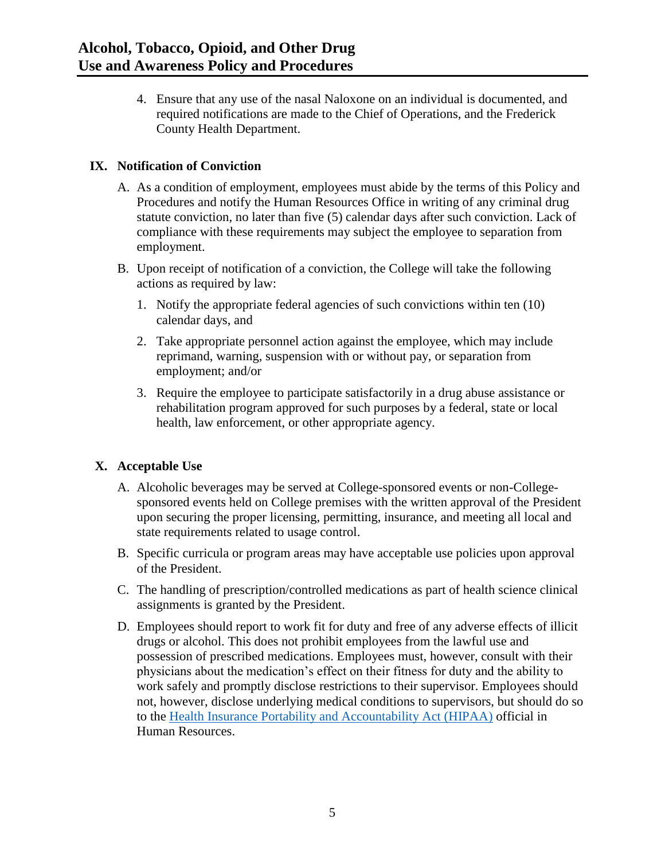4. Ensure that any use of the nasal Naloxone on an individual is documented, and required notifications are made to the Chief of Operations, and the Frederick County Health Department.

## <span id="page-5-0"></span>**IX. Notification of Conviction**

- A. As a condition of employment, employees must abide by the terms of this Policy and Procedures and notify the Human Resources Office in writing of any criminal drug statute conviction, no later than five (5) calendar days after such conviction. Lack of compliance with these requirements may subject the employee to separation from employment.
- B. Upon receipt of notification of a conviction, the College will take the following actions as required by law:
	- 1. Notify the appropriate federal agencies of such convictions within ten (10) calendar days, and
	- 2. Take appropriate personnel action against the employee, which may include reprimand, warning, suspension with or without pay, or separation from employment; and/or
	- 3. Require the employee to participate satisfactorily in a drug abuse assistance or rehabilitation program approved for such purposes by a federal, state or local health, law enforcement, or other appropriate agency.

## <span id="page-5-1"></span>**X. Acceptable Use**

- A. Alcoholic beverages may be served at College-sponsored events or non-Collegesponsored events held on College premises with the written approval of the President upon securing the proper licensing, permitting, insurance, and meeting all local and state requirements related to usage control.
- B. Specific curricula or program areas may have acceptable use policies upon approval of the President.
- C. The handling of prescription/controlled medications as part of health science clinical assignments is granted by the President.
- D. Employees should report to work fit for duty and free of any adverse effects of illicit drugs or alcohol. This does not prohibit employees from the lawful use and possession of prescribed medications. Employees must, however, consult with their physicians about the medication's effect on their fitness for duty and the ability to work safely and promptly disclose restrictions to their supervisor. Employees should not, however, disclose underlying medical conditions to supervisors, but should do so to the [Health Insurance Portability and Accountability Act \(HIPAA\)](https://www.hhs.gov/hipaa/for-professionals/privacy/laws-regulations/index.html) official in Human Resources.